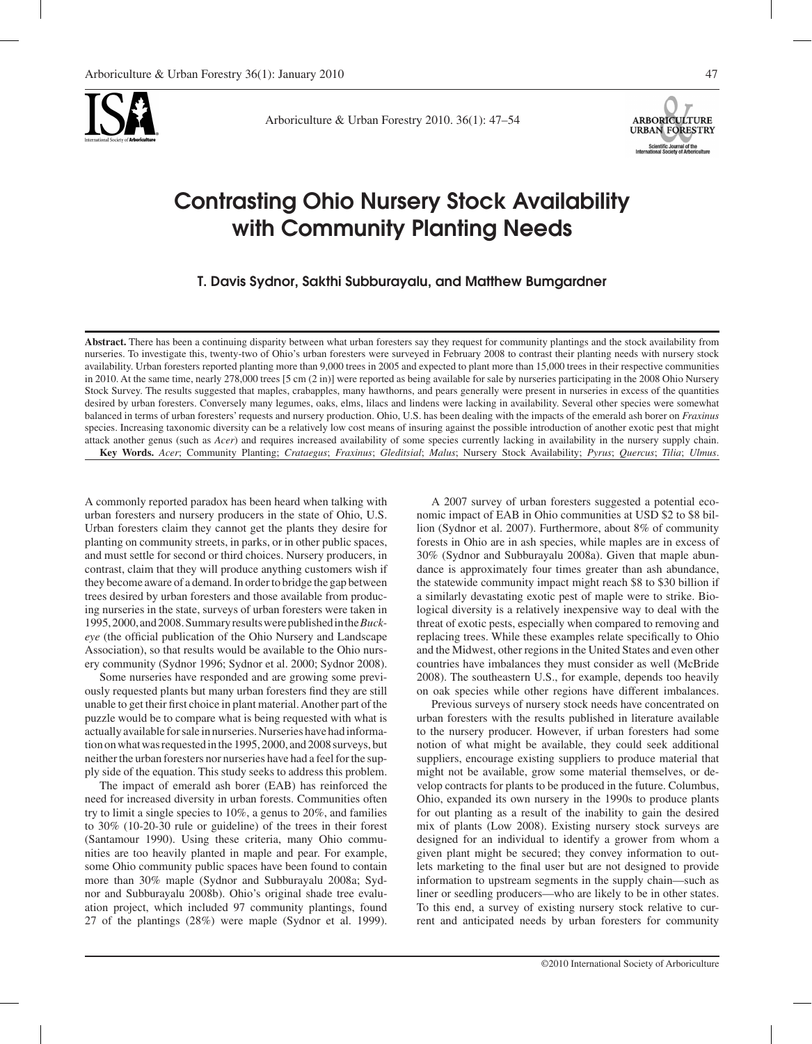

Arboriculture & Urban Forestry 2010. 36(1): 47–54



# Contrasting Ohio Nursery Stock Availability with Community Planting Needs

T. Davis Sydnor, Sakthi Subburayalu, and Matthew Bumgardner

**Abstract.** There has been a continuing disparity between what urban foresters say they request for community plantings and the stock availability from nurseries. To investigate this, twenty-two of Ohio's urban foresters were surveyed in February 2008 to contrast their planting needs with nursery stock availability. Urban foresters reported planting more than 9,000 trees in 2005 and expected to plant more than 15,000 trees in their respective communities in 2010. At the same time, nearly 278,000 trees [5 cm (2 in)] were reported as being available for sale by nurseries participating in the 2008 Ohio Nursery Stock Survey. The results suggested that maples, crabapples, many hawthorns, and pears generally were present in nurseries in excess of the quantities desired by urban foresters. Conversely many legumes, oaks, elms, lilacs and lindens were lacking in availability. Several other species were somewhat balanced in terms of urban foresters' requests and nursery production. Ohio, U.S. has been dealing with the impacts of the emerald ash borer on *Fraxinus*  species. Increasing taxonomic diversity can be a relatively low cost means of insuring against the possible introduction of another exotic pest that might attack another genus (such as *Acer*) and requires increased availability of some species currently lacking in availability in the nursery supply chain. **Key Words.** *Acer*; Community Planting; *Crataegus*; *Fraxinus*; *Gleditsial*; *Malus*; Nursery Stock Availability; *Pyrus*; *Quercus*; *Tilia*; *Ulmus*.

A commonly reported paradox has been heard when talking with urban foresters and nursery producers in the state of Ohio, U.S. Urban foresters claim they cannot get the plants they desire for planting on community streets, in parks, or in other public spaces, and must settle for second or third choices. Nursery producers, in contrast, claim that they will produce anything customers wish if they become aware of a demand. In order to bridge the gap between trees desired by urban foresters and those available from producing nurseries in the state, surveys of urban foresters were taken in 1995, 2000, and 2008. Summary results were published in the *Buckeye* (the official publication of the Ohio Nursery and Landscape Association), so that results would be available to the Ohio nursery community (Sydnor 1996; Sydnor et al. 2000; Sydnor 2008).

Some nurseries have responded and are growing some previously requested plants but many urban foresters find they are still unable to get their first choice in plant material. Another part of the puzzle would be to compare what is being requested with what is actually available for sale in nurseries. Nurseries have had information on what was requested in the 1995, 2000, and 2008 surveys, but neither the urban foresters nor nurseries have had a feel for the supply side of the equation. This study seeks to address this problem.

The impact of emerald ash borer (EAB) has reinforced the need for increased diversity in urban forests. Communities often try to limit a single species to 10%, a genus to 20%, and families to 30% (10-20-30 rule or guideline) of the trees in their forest (Santamour 1990). Using these criteria, many Ohio communities are too heavily planted in maple and pear. For example, some Ohio community public spaces have been found to contain more than 30% maple (Sydnor and Subburayalu 2008a; Sydnor and Subburayalu 2008b). Ohio's original shade tree evaluation project, which included 97 community plantings, found 27 of the plantings (28%) were maple (Sydnor et al. 1999).

A 2007 survey of urban foresters suggested a potential economic impact of EAB in Ohio communities at USD \$2 to \$8 billion (Sydnor et al. 2007). Furthermore, about 8% of community forests in Ohio are in ash species, while maples are in excess of 30% (Sydnor and Subburayalu 2008a). Given that maple abundance is approximately four times greater than ash abundance, the statewide community impact might reach \$8 to \$30 billion if a similarly devastating exotic pest of maple were to strike. Biological diversity is a relatively inexpensive way to deal with the threat of exotic pests, especially when compared to removing and replacing trees. While these examples relate specifically to Ohio and the Midwest, other regions in the United States and even other countries have imbalances they must consider as well (McBride 2008). The southeastern U.S., for example, depends too heavily on oak species while other regions have different imbalances.

Previous surveys of nursery stock needs have concentrated on urban foresters with the results published in literature available to the nursery producer. However, if urban foresters had some notion of what might be available, they could seek additional suppliers, encourage existing suppliers to produce material that might not be available, grow some material themselves, or develop contracts for plants to be produced in the future. Columbus, Ohio, expanded its own nursery in the 1990s to produce plants for out planting as a result of the inability to gain the desired mix of plants (Low 2008). Existing nursery stock surveys are designed for an individual to identify a grower from whom a given plant might be secured; they convey information to outlets marketing to the final user but are not designed to provide information to upstream segments in the supply chain—such as liner or seedling producers—who are likely to be in other states. To this end, a survey of existing nursery stock relative to current and anticipated needs by urban foresters for community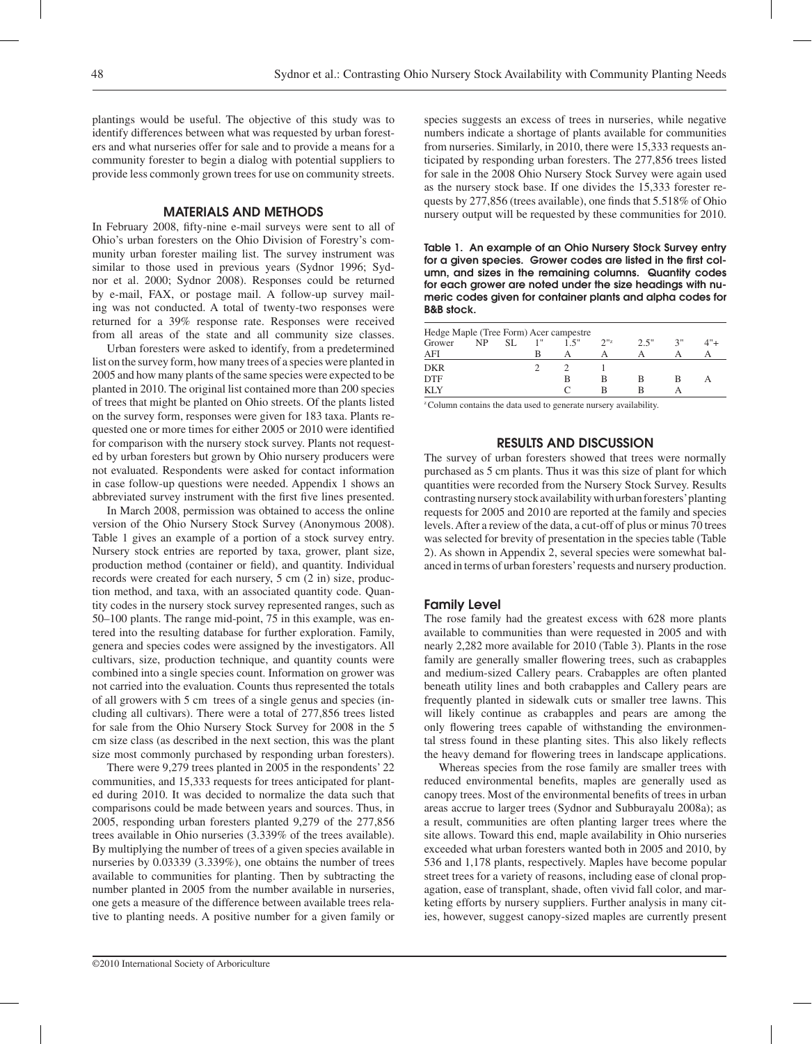plantings would be useful. The objective of this study was to identify differences between what was requested by urban foresters and what nurseries offer for sale and to provide a means for a community forester to begin a dialog with potential suppliers to provide less commonly grown trees for use on community streets.

## MATERIALS AND METHODS

In February 2008, fifty-nine e-mail surveys were sent to all of Ohio's urban foresters on the Ohio Division of Forestry's community urban forester mailing list. The survey instrument was similar to those used in previous years (Sydnor 1996; Sydnor et al. 2000; Sydnor 2008). Responses could be returned by e-mail, FAX, or postage mail. A follow-up survey mailing was not conducted. A total of twenty-two responses were returned for a 39% response rate. Responses were received from all areas of the state and all community size classes.

Urban foresters were asked to identify, from a predetermined list on the survey form, how many trees of a species were planted in 2005 and how many plants of the same species were expected to be planted in 2010. The original list contained more than 200 species of trees that might be planted on Ohio streets. Of the plants listed on the survey form, responses were given for 183 taxa. Plants requested one or more times for either 2005 or 2010 were identified for comparison with the nursery stock survey. Plants not requested by urban foresters but grown by Ohio nursery producers were not evaluated. Respondents were asked for contact information in case follow-up questions were needed. Appendix 1 shows an abbreviated survey instrument with the first five lines presented.

In March 2008, permission was obtained to access the online version of the Ohio Nursery Stock Survey (Anonymous 2008). Table 1 gives an example of a portion of a stock survey entry. Nursery stock entries are reported by taxa, grower, plant size, production method (container or field), and quantity. Individual records were created for each nursery, 5 cm (2 in) size, production method, and taxa, with an associated quantity code. Quantity codes in the nursery stock survey represented ranges, such as 50–100 plants. The range mid-point, 75 in this example, was entered into the resulting database for further exploration. Family, genera and species codes were assigned by the investigators. All cultivars, size, production technique, and quantity counts were combined into a single species count. Information on grower was not carried into the evaluation. Counts thus represented the totals of all growers with 5 cm trees of a single genus and species (including all cultivars). There were a total of 277,856 trees listed for sale from the Ohio Nursery Stock Survey for 2008 in the 5 cm size class (as described in the next section, this was the plant size most commonly purchased by responding urban foresters).

There were 9,279 trees planted in 2005 in the respondents' 22 communities, and 15,333 requests for trees anticipated for planted during 2010. It was decided to normalize the data such that comparisons could be made between years and sources. Thus, in 2005, responding urban foresters planted 9,279 of the 277,856 trees available in Ohio nurseries (3.339% of the trees available). By multiplying the number of trees of a given species available in nurseries by 0.03339 (3.339%), one obtains the number of trees available to communities for planting. Then by subtracting the number planted in 2005 from the number available in nurseries, one gets a measure of the difference between available trees relative to planting needs. A positive number for a given family or species suggests an excess of trees in nurseries, while negative numbers indicate a shortage of plants available for communities from nurseries. Similarly, in 2010, there were 15,333 requests anticipated by responding urban foresters. The 277,856 trees listed for sale in the 2008 Ohio Nursery Stock Survey were again used as the nursery stock base. If one divides the 15,333 forester requests by 277,856 (trees available), one finds that 5.518% of Ohio nursery output will be requested by these communities for 2010.

Table 1. An example of an Ohio Nursery Stock Survey entry for a given species. Grower codes are listed in the first column, and sizes in the remaining columns. Quantity codes for each grower are noted under the size headings with numeric codes given for container plants and alpha codes for B&B stock.

| Hedge Maple (Tree Form) Acer campestre |     |     |   |      |                  |      |    |        |  |  |
|----------------------------------------|-----|-----|---|------|------------------|------|----|--------|--|--|
| Grower                                 | NP. | SL. |   | 1.5" | 2 <sup>112</sup> | 2.5" | 3" | $4"$ + |  |  |
| AFI                                    |     |     | в |      |                  |      |    |        |  |  |
| <b>DKR</b>                             |     |     |   |      |                  |      |    |        |  |  |
| <b>DTF</b>                             |     |     |   | в    | в                | в    | в  | Α      |  |  |
| <b>KLY</b>                             |     |     |   |      | R                |      |    |        |  |  |

<sup>2</sup> Column contains the data used to generate nursery availability.

## RESULTS AND DISCUSSION

The survey of urban foresters showed that trees were normally purchased as 5 cm plants. Thus it was this size of plant for which quantities were recorded from the Nursery Stock Survey. Results contrasting nursery stock availability with urban foresters' planting requests for 2005 and 2010 are reported at the family and species levels. After a review of the data, a cut-off of plus or minus 70 trees was selected for brevity of presentation in the species table (Table 2). As shown in Appendix 2, several species were somewhat balanced in terms of urban foresters' requests and nursery production.

## Family Level

The rose family had the greatest excess with 628 more plants available to communities than were requested in 2005 and with nearly 2,282 more available for 2010 (Table 3). Plants in the rose family are generally smaller flowering trees, such as crabapples and medium-sized Callery pears. Crabapples are often planted beneath utility lines and both crabapples and Callery pears are frequently planted in sidewalk cuts or smaller tree lawns. This will likely continue as crabapples and pears are among the only flowering trees capable of withstanding the environmental stress found in these planting sites. This also likely reflects the heavy demand for flowering trees in landscape applications.

Whereas species from the rose family are smaller trees with reduced environmental benefits, maples are generally used as canopy trees. Most of the environmental benefits of trees in urban areas accrue to larger trees (Sydnor and Subburayalu 2008a); as a result, communities are often planting larger trees where the site allows. Toward this end, maple availability in Ohio nurseries exceeded what urban foresters wanted both in 2005 and 2010, by 536 and 1,178 plants, respectively. Maples have become popular street trees for a variety of reasons, including ease of clonal propagation, ease of transplant, shade, often vivid fall color, and marketing efforts by nursery suppliers. Further analysis in many cities, however, suggest canopy-sized maples are currently present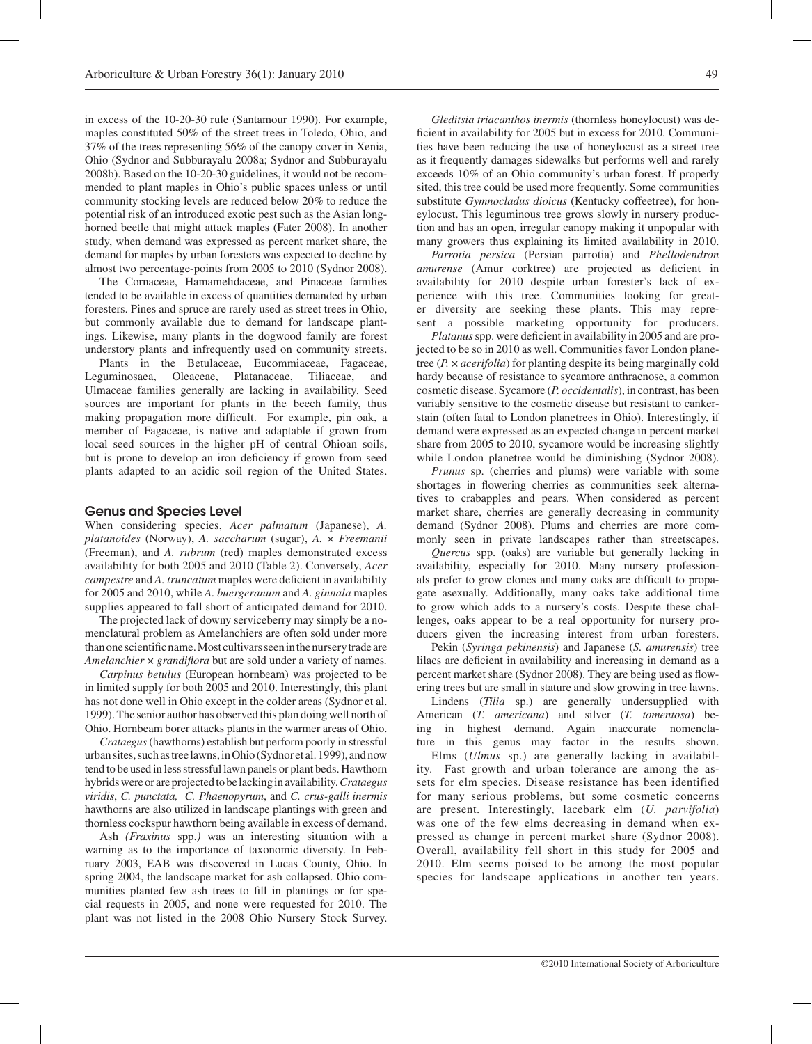in excess of the 10-20-30 rule (Santamour 1990). For example, maples constituted 50% of the street trees in Toledo, Ohio, and 37% of the trees representing 56% of the canopy cover in Xenia, Ohio (Sydnor and Subburayalu 2008a; Sydnor and Subburayalu 2008b). Based on the 10-20-30 guidelines, it would not be recommended to plant maples in Ohio's public spaces unless or until community stocking levels are reduced below 20% to reduce the potential risk of an introduced exotic pest such as the Asian longhorned beetle that might attack maples (Fater 2008). In another study, when demand was expressed as percent market share, the demand for maples by urban foresters was expected to decline by almost two percentage-points from 2005 to 2010 (Sydnor 2008).

The Cornaceae, Hamamelidaceae, and Pinaceae families tended to be available in excess of quantities demanded by urban foresters. Pines and spruce are rarely used as street trees in Ohio, but commonly available due to demand for landscape plantings. Likewise, many plants in the dogwood family are forest understory plants and infrequently used on community streets.

Plants in the Betulaceae, Eucommiaceae, Fagaceae, Leguminosaea, Oleaceae, Platanaceae, Tiliaceae, and Ulmaceae families generally are lacking in availability. Seed sources are important for plants in the beech family, thus making propagation more difficult. For example, pin oak, a member of Fagaceae, is native and adaptable if grown from local seed sources in the higher pH of central Ohioan soils, but is prone to develop an iron deficiency if grown from seed plants adapted to an acidic soil region of the United States.

#### Genus and Species Level

When considering species, *Acer palmatum* (Japanese), *A. platanoides* (Norway), *A. saccharum* (sugar), *A.* × *Freemanii* (Freeman), and *A. rubrum* (red) maples demonstrated excess availability for both 2005 and 2010 (Table 2). Conversely, *Acer campestre* and *A. truncatum* maples were deficient in availability for 2005 and 2010, while *A. buergeranum* and *A. ginnala* maples supplies appeared to fall short of anticipated demand for 2010.

The projected lack of downy serviceberry may simply be a nomenclatural problem as Amelanchiers are often sold under more than one scientific name. Most cultivars seen in the nursery trade are *Amelanchier* × *grandiflora* but are sold under a variety of names*.*

*Carpinus betulus* (European hornbeam) was projected to be in limited supply for both 2005 and 2010. Interestingly, this plant has not done well in Ohio except in the colder areas (Sydnor et al. 1999). The senior author has observed this plan doing well north of Ohio. Hornbeam borer attacks plants in the warmer areas of Ohio.

*Crataegus* (hawthorns) establish but perform poorly in stressful urban sites, such as tree lawns, in Ohio (Sydnor et al. 1999), and now tend to be used in less stressful lawn panels or plant beds. Hawthorn hybrids were or are projected to be lacking in availability. *Crataegus viridis*, *C. punctata, C. Phaenopyrum*, and *C. crus-galli inermis* hawthorns are also utilized in landscape plantings with green and thornless cockspur hawthorn being available in excess of demand.

Ash *(Fraxinus* spp.*)* was an interesting situation with a warning as to the importance of taxonomic diversity. In February 2003, EAB was discovered in Lucas County, Ohio. In spring 2004, the landscape market for ash collapsed. Ohio communities planted few ash trees to fill in plantings or for special requests in 2005, and none were requested for 2010. The plant was not listed in the 2008 Ohio Nursery Stock Survey.

*Gleditsia triacanthos inermis* (thornless honeylocust) was deficient in availability for 2005 but in excess for 2010. Communities have been reducing the use of honeylocust as a street tree as it frequently damages sidewalks but performs well and rarely exceeds 10% of an Ohio community's urban forest. If properly sited, this tree could be used more frequently. Some communities substitute *Gymnocladus dioicus* (Kentucky coffeetree), for honeylocust. This leguminous tree grows slowly in nursery production and has an open, irregular canopy making it unpopular with many growers thus explaining its limited availability in 2010.

*Parrotia persica* (Persian parrotia) and *Phellodendron amurense* (Amur corktree) are projected as deficient in availability for 2010 despite urban forester's lack of experience with this tree. Communities looking for greater diversity are seeking these plants. This may represent a possible marketing opportunity for producers.

*Platanus* spp. were deficient in availability in 2005 and are projected to be so in 2010 as well. Communities favor London planetree (*P.* × *acerifolia*) for planting despite its being marginally cold hardy because of resistance to sycamore anthracnose, a common cosmetic disease. Sycamore (*P. occidentalis*), in contrast, has been variably sensitive to the cosmetic disease but resistant to cankerstain (often fatal to London planetrees in Ohio). Interestingly, if demand were expressed as an expected change in percent market share from 2005 to 2010, sycamore would be increasing slightly while London planetree would be diminishing (Sydnor 2008).

*Prunus* sp. (cherries and plums) were variable with some shortages in flowering cherries as communities seek alternatives to crabapples and pears. When considered as percent market share, cherries are generally decreasing in community demand (Sydnor 2008). Plums and cherries are more commonly seen in private landscapes rather than streetscapes.

*Quercus* spp. (oaks) are variable but generally lacking in availability, especially for 2010. Many nursery professionals prefer to grow clones and many oaks are difficult to propagate asexually. Additionally, many oaks take additional time to grow which adds to a nursery's costs. Despite these challenges, oaks appear to be a real opportunity for nursery producers given the increasing interest from urban foresters.

Pekin (*Syringa pekinensis*) and Japanese (*S. amurensis*) tree lilacs are deficient in availability and increasing in demand as a percent market share (Sydnor 2008). They are being used as flowering trees but are small in stature and slow growing in tree lawns.

Lindens (*Tilia* sp.) are generally undersupplied with American (*T. americana*) and silver (*T. tomentosa*) being in highest demand. Again inaccurate nomenclature in this genus may factor in the results shown.

Elms (*Ulmus* sp.) are generally lacking in availability. Fast growth and urban tolerance are among the assets for elm species. Disease resistance has been identified for many serious problems, but some cosmetic concerns are present. Interestingly, lacebark elm (*U. parvifolia*) was one of the few elms decreasing in demand when expressed as change in percent market share (Sydnor 2008). Overall, availability fell short in this study for 2005 and 2010. Elm seems poised to be among the most popular species for landscape applications in another ten years.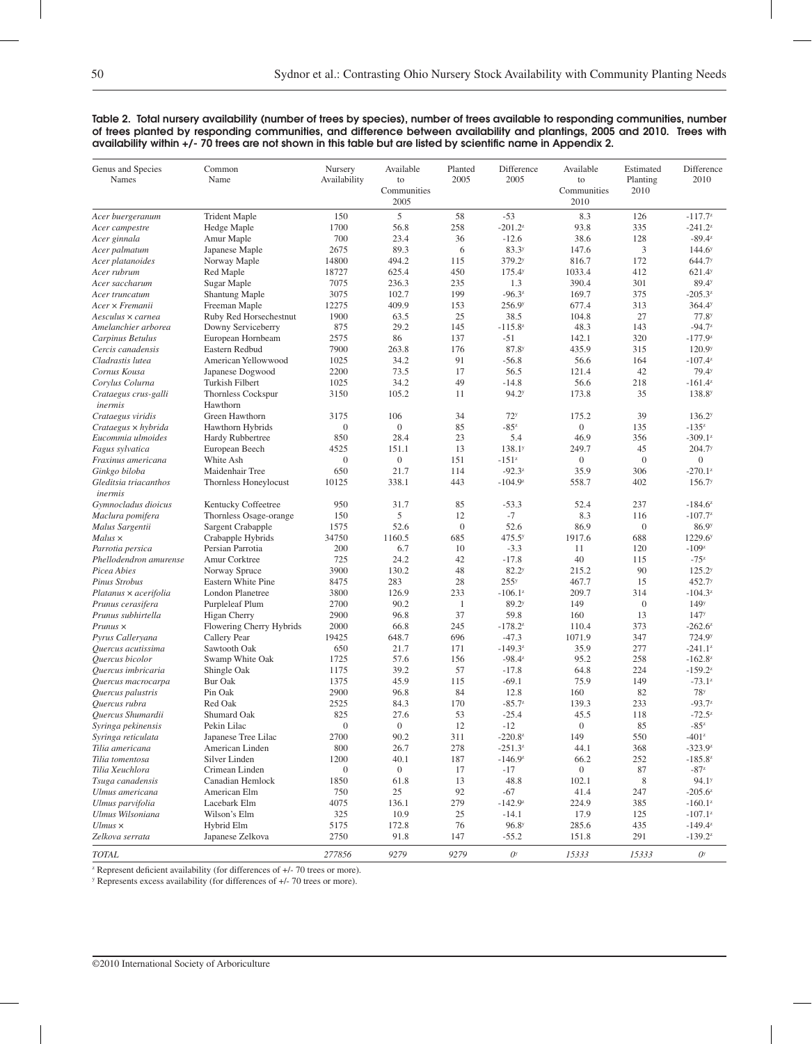#### Table 2. Total nursery availability (number of trees by species), number of trees available to responding communities, number of trees planted by responding communities, and difference between availability and plantings, 2005 and 2010. Trees with availability within +/- 70 trees are not shown in this table but are listed by scientific name in Appendix 2.

| Genus and Species<br>Names              | Common<br>Name                        | Nursery<br>Availability | Available<br>to<br>Communities<br>2005 | Planted<br>2005 | Difference<br>2005        | Available<br>to<br>Communities<br>2010 | Estimated<br>Planting<br>2010 | Difference<br>2010     |
|-----------------------------------------|---------------------------------------|-------------------------|----------------------------------------|-----------------|---------------------------|----------------------------------------|-------------------------------|------------------------|
| Acer buergeranum                        | <b>Trident Maple</b>                  | 150                     | 5                                      | 58              | $-53$                     | 8.3                                    | 126                           | $-117.7^{z}$           |
| Acer campestre                          | Hedge Maple                           | 1700                    | 56.8                                   | 258             | $-201.2^{z}$              | 93.8                                   | 335                           | $-241.2^{z}$           |
| Acer ginnala                            | Amur Maple                            | 700                     | 23.4                                   | 36              | $-12.6$                   | 38.6                                   | 128                           | $-89.4^z$              |
| Acer palmatum                           | Japanese Maple                        | 2675                    | 89.3                                   | 6               | 83.3 <sup>y</sup>         | 147.6                                  | 3                             | 144.6 <sup>y</sup>     |
| Acer platanoides                        | Norway Maple                          | 14800                   | 494.2                                  | 115             | 379.2 <sup>y</sup>        | 816.7                                  | 172                           | 644.7 <sup>y</sup>     |
| Acer rubrum                             | Red Maple                             | 18727                   | 625.4                                  | 450             | 175.4 <sup>y</sup>        | 1033.4                                 | 412                           | 621.4 <sup>y</sup>     |
| Acer saccharum                          | Sugar Maple                           | 7075                    | 236.3                                  | 235             | 1.3                       | 390.4                                  | 301                           | 89.4 <sup>y</sup>      |
| Acer truncatum                          | <b>Shantung Maple</b>                 | 3075                    | 102.7                                  | 199             | $-96.3z$                  | 169.7                                  | 375                           | $-205.3^{z}$           |
| Acer × Fremanii                         | Freeman Maple                         | 12275                   | 409.9                                  | 153             | 256.9 <sup>y</sup>        | 677.4                                  | 313                           | 364.4 <sup>y</sup>     |
| Aesculus × carnea                       | Ruby Red Horsechestnut                | 1900                    | 63.5                                   | 25              | 38.5                      | 104.8                                  | 27                            | 77.8 <sup>y</sup>      |
| Amelanchier arborea                     | Downy Serviceberry                    | 875                     | 29.2                                   | 145             | $-115.8^{z}$              | 48.3                                   | 143                           | $-94.7z$               |
| Carpinus Betulus                        | European Hornbeam                     | 2575                    | 86                                     | 137             | $-51$                     | 142.1                                  | 320                           | $-177.9^{z}$           |
| Cercis canadensis                       | Eastern Redbud                        | 7900                    | 263.8                                  | 176             | 87.8 <sup>y</sup>         | 435.9                                  | 315                           | 120.9 <sup>y</sup>     |
| Cladrastis lutea                        | American Yellowwood                   | 1025                    | 34.2                                   | 91              | $-56.8$                   | 56.6                                   | 164                           | $-107.4^{z}$           |
| Cornus Kousa                            | Japanese Dogwood                      | 2200                    | 73.5                                   | 17              | 56.5                      | 121.4                                  | 42                            | 79.4 <sup>y</sup>      |
| Corylus Colurna                         | Turkish Filbert                       | 1025                    | 34.2                                   | 49              | $-14.8$                   | 56.6                                   | 218                           | $-161.4^{z}$           |
| Crataegus crus-galli<br>inermis         | <b>Thornless Cockspur</b><br>Hawthorn | 3150                    | 105.2                                  | 11              | 94.2 <sup>y</sup>         | 173.8                                  | 35                            | 138.8 <sup>y</sup>     |
| Crataegus viridis                       | Green Hawthorn                        | 3175                    | 106                                    | 34              | 72 <sup>y</sup>           | 175.2                                  | 39                            | 136.2 <sup>y</sup>     |
| Crataegus × hybrida                     | Hawthorn Hybrids                      | $\theta$                | $\boldsymbol{0}$                       | 85              | $-85z$                    | $\mathbf{0}$                           | 135                           | $-135^{2}$             |
| Eucommia ulmoides                       | Hardy Rubbertree                      | 850                     | 28.4                                   | 23              | 5.4                       | 46.9                                   | 356                           | $-309.1^z$             |
| Fagus sylvatica                         | European Beech                        | 4525                    | 151.1                                  | 13              | 138.1 <sup>y</sup>        | 249.7                                  | 45                            | 204.7 <sup>y</sup>     |
| Fraxinus americana                      | White Ash                             | $\theta$                | $\boldsymbol{0}$                       | 151             | $-151^z$                  | $\mathbf{0}$                           | $\theta$                      | $\mathbf{0}$           |
| Ginkgo biloba                           | Maidenhair Tree                       | 650                     | 21.7                                   | 114             | $-92.3^z$                 | 35.9                                   | 306                           | $-270.1^z$             |
| Gleditsia triacanthos<br>inermis        | Thornless Honeylocust                 | 10125                   | 338.1                                  | 443             | $-104.9^z$                | 558.7                                  | 402                           | 156.7 <sup>y</sup>     |
| Gymnocladus dioicus                     | Kentucky Coffeetree                   | 950                     | 31.7                                   | 85              | $-53.3$                   | 52.4                                   | 237                           | $-184.6^z$             |
| Maclura pomifera                        | Thornless Osage-orange                | 150                     | 5                                      | 12              | $-7$                      | 8.3                                    | 116                           | $-107.7^{z}$           |
| Malus Sargentii                         | Sargent Crabapple                     | 1575                    | 52.6                                   | $\mathbf{0}$    | 52.6                      | 86.9                                   | $\mathbf{0}$                  | 86.9 <sup>y</sup>      |
| $Malus \times$                          | Crabapple Hybrids                     | 34750                   | 1160.5                                 | 685             | 475.5 <sup>y</sup>        | 1917.6                                 | 688                           | 1229.6 <sup>y</sup>    |
| Parrotia persica                        | Persian Parrotia                      | 200                     | 6.7                                    | 10              | $-3.3$                    | 11                                     | 120                           | $-109z$                |
| Phellodendron amurense                  | Amur Corktree                         | 725                     | 24.2                                   | 42              | $-17.8$                   | 40                                     | 115                           | $-75z$                 |
| Picea Abies                             | Norway Spruce                         | 3900                    | 130.2                                  | 48              | 82.2 <sup>y</sup>         | 215.2                                  | 90                            | 125.2 <sup>y</sup>     |
| Pinus Strobus                           | Eastern White Pine                    | 8475                    | 283                                    | 28              | 255 <sup>y</sup>          | 467.7                                  | 15                            | 452.7 <sup>y</sup>     |
| Platanus × acerifolia                   | London Planetree                      | 3800                    | 126.9                                  | 233             | $-106.1^z$                | 209.7                                  | 314                           | $-104.3^z$             |
| Prunus cerasifera                       | Purpleleaf Plum                       | 2700                    | 90.2                                   | $\mathbf{1}$    | 89.2 <sup>y</sup>         | 149                                    | $\mathbf{0}$                  | 149 <sup>y</sup>       |
| Prunus subhirtella                      | Higan Cherry                          | 2900                    | 96.8                                   | 37              | 59.8                      | 160                                    | 13                            | 147 <sup>y</sup>       |
| $Prunus \times$                         | Flowering Cherry Hybrids              | 2000                    | 66.8                                   | 245             | $-178.2^{z}$              | 110.4                                  | 373                           | $-262.6^z$             |
| Pyrus Calleryana                        | Callery Pear                          | 19425                   | 648.7                                  | 696             | $-47.3$                   | 1071.9                                 | 347                           | 724.9 <sup>y</sup>     |
| Ouercus acutissima                      | Sawtooth Oak                          | 650                     | 21.7                                   | 171             | $-149.3^{z}$              | 35.9                                   | 277                           | $-241.1^{z}$           |
| Quercus bicolor                         | Swamp White Oak                       | 1725                    | 57.6                                   | 156             | $-98.4^z$                 | 95.2                                   | 258                           | $-162.8^{z}$           |
| Quercus imbricaria                      | Shingle Oak                           | 1175                    | 39.2                                   | 57              | $-17.8$                   | 64.8                                   | 224                           | $-159.2^z$             |
|                                         | <b>Bur Oak</b>                        | 1375                    | 45.9                                   | 115             | $-69.1$                   | 75.9                                   | 149                           | $-73.1^{z}$            |
| Quercus macrocarpa<br>Ouercus palustris | Pin Oak                               | 2900                    | 96.8                                   | 84              | 12.8                      | 160                                    | 82                            | 78 <sup>y</sup>        |
| Quercus rubra                           | Red Oak                               | 2525                    | 84.3                                   | 170             | $-85.7^{z}$               | 139.3                                  | 233                           | $-93.7z$               |
| Quercus Shumardii                       | Shumard Oak                           | 825                     | 27.6                                   | 53              | $-25.4$                   | 45.5                                   | 118                           | $-72.5^{z}$            |
| Syringa pekinensis                      | Pekin Lilac                           | $\mathbf{0}$            | $\boldsymbol{0}$                       | 12              | $-12$                     | $\boldsymbol{0}$                       | 85                            | $-85z$                 |
|                                         | Japanese Tree Lilac                   | 2700                    | 90.2                                   | 311             | $-220.8^{z}$              | 149                                    | 550                           | $-401^z$               |
| Syringa reticulata<br>Tilia americana   | American Linden                       | 800                     | 26.7                                   | 278             | $-251.3^z$                | 44.1                                   | 368                           | $-323.9^z$             |
|                                         | Silver Linden                         |                         |                                        |                 | $-146.9^{z}$              |                                        |                               |                        |
| Tilia tomentosa<br>Tilia Xeuchlora      | Crimean Linden                        | 1200<br>$\overline{0}$  | 40.1<br>$\boldsymbol{0}$               | 187<br>17       | $-17$                     | 66.2<br>$\boldsymbol{0}$               | 252<br>87                     | $-185.8^{z}$<br>$-87z$ |
|                                         |                                       |                         |                                        |                 |                           |                                        |                               |                        |
| Tsuga canadensis                        | Canadian Hemlock                      | 1850                    | 61.8                                   | 13              | 48.8                      | 102.1                                  | 8                             | 94.1 <sup>y</sup>      |
| Ulmus americana                         | American Elm                          | 750                     | 25                                     | 92              | -67                       | 41.4                                   | 247                           | $-205.6^z$             |
| Ulmus parvifolia                        | Lacebark Elm                          | 4075                    | 136.1                                  | 279             | $-142.9^{z}$              | 224.9                                  | 385                           | $-160.1^z$             |
| Ulmus Wilsoniana                        | Wilson's Elm                          | 325                     | 10.9                                   | 25              | $-14.1$                   | 17.9                                   | 125                           | $-107.1^{z}$           |
| $Ulmus \times$                          | Hybrid Elm                            | 5175                    | 172.8                                  | 76              | 96.8 <sup>y</sup>         | 285.6                                  | 435                           | $-149.4^z$             |
| Zelkova serrata<br><b>TOTAL</b>         | Japanese Zelkova                      | 2750<br>277856          | 91.8<br>9279                           | 147<br>9279     | $-55.2$<br>O <sup>y</sup> | 151.8<br>15333                         | 291<br>15333                  | $-139.2^z$<br>$O^y$    |
|                                         |                                       |                         |                                        |                 |                           |                                        |                               |                        |

<sup>2</sup> Represent deficient availability (for differences of  $+/-70$  trees or more).

y Represents excess availability (for differences of +/- 70 trees or more).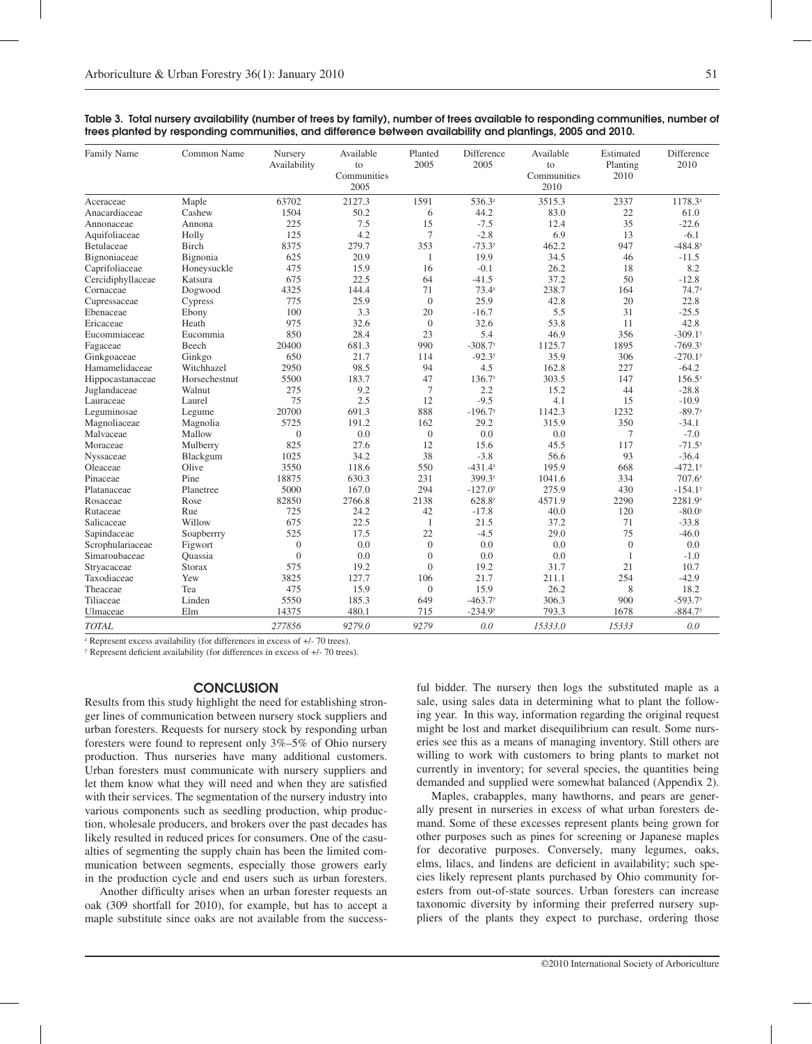| Family Name       | Common Name   | Nursery<br>Availability | Available<br>to<br>Communities<br>2005 | Planted<br>2005 | Difference<br>2005    | Available<br>to<br>Communities<br>2010 | Estimated<br>Planting<br>2010 | Difference<br>2010    |
|-------------------|---------------|-------------------------|----------------------------------------|-----------------|-----------------------|----------------------------------------|-------------------------------|-----------------------|
| Aceraceae         | Maple         | 63702                   | 2127.3                                 | 1591            | 536.3 <sup>z</sup>    | 3515.3                                 | 2337                          | 1178.3z               |
| Anacardiaceae     | Cashew        | 1504                    | 50.2                                   | 6               | 44.2                  | 83.0                                   | 22                            | 61.0                  |
| Annonaceae        | Annona        | 225                     | 7.5                                    | 15              | $-7.5$                | 12.4                                   | 35                            | $-22.6$               |
| Aquifoliaceae     | Holly         | 125                     | 4.2                                    | 7               | $-2.8$                | 6.9                                    | 13                            | $-6.1$                |
| Betulaceae        | Birch         | 8375                    | 279.7                                  | 353             | $-73.3y$              | 462.2                                  | 947                           | $-484.8$ <sup>y</sup> |
| Bignoniaceae      | Bignonia      | 625                     | 20.9                                   | 1               | 19.9                  | 34.5                                   | 46                            | $-11.5$               |
| Caprifoliaceae    | Honeysuckle   | 475                     | 15.9                                   | 16              | $-0.1$                | 26.2                                   | 18                            | 8.2                   |
| Cercidiphyllaceae | Katsura       | 675                     | 22.5                                   | 64              | $-41.5$               | 37.2                                   | 50                            | $-12.8$               |
| Cornaceae         | Dogwood       | 4325                    | 144.4                                  | 71              | $73.4^{z}$            | 238.7                                  | 164                           | $74.7^{z}$            |
| Cupressaceae      | Cypress       | 775                     | 25.9                                   | $\overline{0}$  | 25.9                  | 42.8                                   | 20                            | 22.8                  |
| Ebenaceae         | Ebony         | 100                     | 3.3                                    | 20              | $-16.7$               | 5.5                                    | 31                            | $-25.5$               |
| Ericaceae         | Heath         | 975                     | 32.6                                   | $\overline{0}$  | 32.6                  | 53.8                                   | 11                            | 42.8                  |
| Eucommiaceae      | Eucommia      | 850                     | 28.4                                   | 23              | 5.4                   | 46.9                                   | 356                           | $-309.1$ <sup>y</sup> |
| Fagaceae          | Beech         | 20400                   | 681.3                                  | 990             | $-308.7$ <sup>y</sup> | 1125.7                                 | 1895                          | $-769.3$              |
| Ginkgoaceae       | Ginkgo        | 650                     | 21.7                                   | 114             | $-92.3y$              | 35.9                                   | 306                           | $-270.1$ <sup>y</sup> |
| Hamamelidaceae    | Witchhazel    | 2950                    | 98.5                                   | 94              | 4.5                   | 162.8                                  | 227                           | $-64.2$               |
| Hippocastanaceae  | Horsechestnut | 5500                    | 183.7                                  | 47              | $136.7^z$             | 303.5                                  | 147                           | $156.5^z$             |
| Juglandaceae      | Walnut        | 275                     | 9.2                                    | 7               | 2.2                   | 15.2                                   | 44                            | $-28.8$               |
| Lauraceae         | Laurel        | 75                      | 2.5                                    | 12              | $-9.5$                | 4.1                                    | 15                            | $-10.9$               |
| Leguminosae       | Legume        | 20700                   | 691.3                                  | 888             | $-196.7$              | 1142.3                                 | 1232                          | $-89.7$ <sup>y</sup>  |
| Magnoliaceae      | Magnolia      | 5725                    | 191.2                                  | 162             | 29.2                  | 315.9                                  | 350                           | $-34.1$               |
| Malvaceae         | Mallow        | $\mathbf{0}$            | 0.0                                    | $\overline{0}$  | 0.0                   | 0.0                                    | 7                             | $-7.0$                |
| Moraceae          | Mulberry      | 825                     | 27.6                                   | 12              | 15.6                  | 45.5                                   | 117                           | $-71.5^{y}$           |
| Nyssaceae         | Blackgum      | 1025                    | 34.2                                   | 38              | $-3.8$                | 56.6                                   | 93                            | $-36.4$               |
| Oleaceae          | Olive         | 3550                    | 118.6                                  | 550             | $-431.4y$             | 195.9                                  | 668                           | $-472.1$ <sup>y</sup> |
| Pinaceae          | Pine          | 18875                   | 630.3                                  | 231             | 399.3z                | 1041.6                                 | 334                           | $707.6^z$             |
| Platanaceae       | Planetree     | 5000                    | 167.0                                  | 294             | $-127.0$ <sup>y</sup> | 275.9                                  | 430                           | $-154.1$ <sup>y</sup> |
| Rosaceae          | Rose          | 82850                   | 2766.8                                 | 2138            | 628.8 <sup>z</sup>    | 4571.9                                 | 2290                          | 2281.9z               |
| Rutaceae          | Rue           | 725                     | 24.2                                   | 42              | $-17.8$               | 40.0                                   | 120                           | $-80.0^{y}$           |
| Salicaceae        | Willow        | 675                     | 22.5                                   | -1              | 21.5                  | 37.2                                   | 71                            | $-33.8$               |
| Sapindaceae       | Soapberrry    | 525                     | 17.5                                   | 22              | $-4.5$                | 29.0                                   | 75                            | $-46.0$               |
| Scrophulariaceae  | Figwort       | $\boldsymbol{0}$        | 0.0                                    | $\mathbf{0}$    | 0.0                   | 0.0                                    | $\mathbf{0}$                  | 0.0                   |
| Simaroubaceae     | Ouassia       | $\overline{0}$          | 0.0                                    | $\overline{0}$  | 0.0                   | 0.0                                    | 1                             | $-1.0$                |
| Stryacaceae       | Storax        | 575                     | 19.2                                   | $\Omega$        | 19.2                  | 31.7                                   | 21                            | 10.7                  |
| Taxodiaceae       | Yew           | 3825                    | 127.7                                  | 106             | 21.7                  | 211.1                                  | 254                           | $-42.9$               |
| Theaceae          | Tea           | 475                     | 15.9                                   | $\overline{0}$  | 15.9                  | 26.2                                   | 8                             | 18.2                  |
| Tiliaceae         | Linden        | 5550                    | 185.3                                  | 649             | $-463.7y$             | 306.3                                  | 900                           | $-593.7$              |
| Ulmaceae          | Elm           | 14375                   | 480.1                                  | 715             | $-234.9y$             | 793.3                                  | 1678                          | $-884.7$              |
| <b>TOTAL</b>      |               | 277856                  | 9279.0                                 | 9279            | 0.0                   | 15333.0                                | 15333                         | 0.0                   |

|                                                                                                            |  |  | Table 3. Total nursery availability (number of trees by family), number of trees available to responding communities, number of |  |
|------------------------------------------------------------------------------------------------------------|--|--|---------------------------------------------------------------------------------------------------------------------------------|--|
| trees planted by responding communities, and difference between availability and plantings, 2005 and 2010. |  |  |                                                                                                                                 |  |

<sup>2</sup> Represent excess availability (for differences in excess of +/- 70 trees).

y Represent deficient availability (for differences in excess of +/- 70 trees).

## **CONCLUSION**

Results from this study highlight the need for establishing stronger lines of communication between nursery stock suppliers and urban foresters. Requests for nursery stock by responding urban foresters were found to represent only 3%–5% of Ohio nursery production. Thus nurseries have many additional customers. Urban foresters must communicate with nursery suppliers and let them know what they will need and when they are satisfied with their services. The segmentation of the nursery industry into various components such as seedling production, whip production, wholesale producers, and brokers over the past decades has likely resulted in reduced prices for consumers. One of the casualties of segmenting the supply chain has been the limited communication between segments, especially those growers early in the production cycle and end users such as urban foresters.

Another difficulty arises when an urban forester requests an oak (309 shortfall for 2010), for example, but has to accept a maple substitute since oaks are not available from the success-

ful bidder. The nursery then logs the substituted maple as a sale, using sales data in determining what to plant the following year. In this way, information regarding the original request might be lost and market disequilibrium can result. Some nurseries see this as a means of managing inventory. Still others are willing to work with customers to bring plants to market not currently in inventory; for several species, the quantities being demanded and supplied were somewhat balanced (Appendix 2).

Maples, crabapples, many hawthorns, and pears are generally present in nurseries in excess of what urban foresters demand. Some of these excesses represent plants being grown for other purposes such as pines for screening or Japanese maples for decorative purposes. Conversely, many legumes, oaks, elms, lilacs, and lindens are deficient in availability; such species likely represent plants purchased by Ohio community foresters from out-of-state sources. Urban foresters can increase taxonomic diversity by informing their preferred nursery suppliers of the plants they expect to purchase, ordering those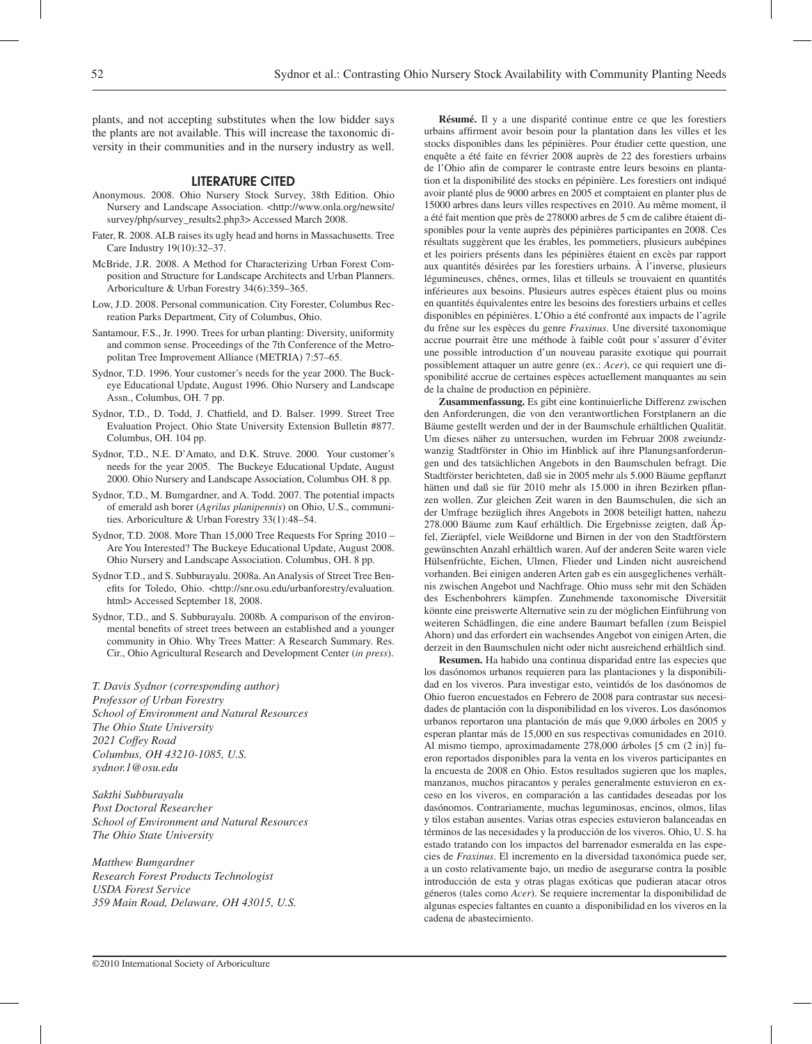plants, and not accepting substitutes when the low bidder says the plants are not available. This will increase the taxonomic diversity in their communities and in the nursery industry as well.

#### Literature Cited

- Anonymous. 2008. Ohio Nursery Stock Survey, 38th Edition. Ohio Nursery and Landscape Association. <http://www.onla.org/newsite/ survey/php/survey\_results2.php3> Accessed March 2008.
- Fater, R. 2008. ALB raises its ugly head and horns in Massachusetts. Tree Care Industry 19(10):32–37.
- McBride, J.R. 2008. A Method for Characterizing Urban Forest Composition and Structure for Landscape Architects and Urban Planners. Arboriculture & Urban Forestry 34(6):359–365.
- Low, J.D. 2008. Personal communication. City Forester, Columbus Recreation Parks Department, City of Columbus, Ohio.
- Santamour, F.S., Jr. 1990. Trees for urban planting: Diversity, uniformity and common sense. Proceedings of the 7th Conference of the Metropolitan Tree Improvement Alliance (METRIA) 7:57–65.
- Sydnor, T.D. 1996. Your customer's needs for the year 2000. The Buckeye Educational Update, August 1996. Ohio Nursery and Landscape Assn., Columbus, OH. 7 pp.
- Sydnor, T.D., D. Todd, J. Chatfield, and D. Balser. 1999. Street Tree Evaluation Project. Ohio State University Extension Bulletin #877. Columbus, OH. 104 pp.
- Sydnor, T.D., N.E. D'Amato, and D.K. Struve. 2000. Your customer's needs for the year 2005. The Buckeye Educational Update, August 2000. Ohio Nursery and Landscape Association, Columbus OH. 8 pp.
- Sydnor, T.D., M. Bumgardner, and A. Todd. 2007. The potential impacts of emerald ash borer (*Agrilus planipennis*) on Ohio, U.S., communities. Arboriculture & Urban Forestry 33(1):48–54.
- Sydnor, T.D. 2008. More Than 15,000 Tree Requests For Spring 2010 Are You Interested? The Buckeye Educational Update, August 2008. Ohio Nursery and Landscape Association. Columbus, OH. 8 pp.
- Sydnor T.D., and S. Subburayalu. 2008a. An Analysis of Street Tree Benefits for Toledo, Ohio. <http://snr.osu.edu/urbanforestry/evaluation. html> Accessed September 18, 2008.
- Sydnor, T.D., and S. Subburayalu. 2008b. A comparison of the environmental benefits of street trees between an established and a younger community in Ohio. Why Trees Matter: A Research Summary. Res. Cir., Ohio Agricultural Research and Development Center (*in press*).

*T. Davis Sydnor (corresponding author) Professor of Urban Forestry School of Environment and Natural Resources The Ohio State University 2021 Coffey Road Columbus, OH 43210-1085, U.S. sydnor.1@osu.edu*

*Sakthi Subburayalu Post Doctoral Researcher School of Environment and Natural Resources The Ohio State University*

*Matthew Bumgardner Research Forest Products Technologist USDA Forest Service 359 Main Road, Delaware, OH 43015, U.S.*

**Résumé.** Il y a une disparité continue entre ce que les forestiers urbains affirment avoir besoin pour la plantation dans les villes et les stocks disponibles dans les pépinières. Pour étudier cette question, une enquête a été faite en février 2008 auprès de 22 des forestiers urbains de l'Ohio afin de comparer le contraste entre leurs besoins en plantation et la disponibilité des stocks en pépinière. Les forestiers ont indiqué avoir planté plus de 9000 arbres en 2005 et comptaient en planter plus de 15000 arbres dans leurs villes respectives en 2010. Au même moment, il a été fait mention que près de 278000 arbres de 5 cm de calibre étaient disponibles pour la vente auprès des pépinières participantes en 2008. Ces résultats suggèrent que les érables, les pommetiers, plusieurs aubépines et les poiriers présents dans les pépinières étaient en excès par rapport aux quantités désirées par les forestiers urbains. À l'inverse, plusieurs légumineuses, chênes, ormes, lilas et tilleuls se trouvaient en quantités inférieures aux besoins. Plusieurs autres espèces étaient plus ou moins en quantités équivalentes entre les besoins des forestiers urbains et celles disponibles en pépinières. L'Ohio a été confronté aux impacts de l'agrile du frêne sur les espèces du genre *Fraxinus*. Une diversité taxonomique accrue pourrait être une méthode à faible coût pour s'assurer d'éviter une possible introduction d'un nouveau parasite exotique qui pourrait possiblement attaquer un autre genre (ex.: *Acer*), ce qui requiert une disponibilité accrue de certaines espèces actuellement manquantes au sein de la chaîne de production en pépinière.

**Zusammenfassung.** Es gibt eine kontinuierliche Differenz zwischen den Anforderungen, die von den verantwortlichen Forstplanern an die Bäume gestellt werden und der in der Baumschule erhältlichen Qualität. Um dieses näher zu untersuchen, wurden im Februar 2008 zweiundzwanzig Stadtförster in Ohio im Hinblick auf ihre Planungsanforderungen und des tatsächlichen Angebots in den Baumschulen befragt. Die Stadtförster berichteten, daß sie in 2005 mehr als 5.000 Bäume gepflanzt hätten und daß sie für 2010 mehr als 15.000 in ihren Bezirken pflanzen wollen. Zur gleichen Zeit waren in den Baumschulen, die sich an der Umfrage bezüglich ihres Angebots in 2008 beteiligt hatten, nahezu 278.000 Bäume zum Kauf erhältlich. Die Ergebnisse zeigten, daß Äpfel, Zieräpfel, viele Weißdorne und Birnen in der von den Stadtförstern gewünschten Anzahl erhältlich waren. Auf der anderen Seite waren viele Hülsenfrüchte, Eichen, Ulmen, Flieder und Linden nicht ausreichend vorhanden. Bei einigen anderen Arten gab es ein ausgeglichenes verhältnis zwischen Angebot und Nachfrage. Ohio muss sehr mit den Schäden des Eschenbohrers kämpfen. Zunehmende taxonomische Diversität könnte eine preiswerte Alternative sein zu der möglichen Einführung von weiteren Schädlingen, die eine andere Baumart befallen (zum Beispiel Ahorn) und das erfordert ein wachsendes Angebot von einigen Arten, die derzeit in den Baumschulen nicht oder nicht ausreichend erhältlich sind.

**Resumen.** Ha habido una continua disparidad entre las especies que los dasónomos urbanos requieren para las plantaciones y la disponibilidad en los viveros. Para investigar esto, veintidós de los dasónomos de Ohio fueron encuestados en Febrero de 2008 para contrastar sus necesidades de plantación con la disponibilidad en los viveros. Los dasónomos urbanos reportaron una plantación de más que 9,000 árboles en 2005 y esperan plantar más de 15,000 en sus respectivas comunidades en 2010. Al mismo tiempo, aproximadamente 278,000 árboles [5 cm (2 in)] fueron reportados disponibles para la venta en los viveros participantes en la encuesta de 2008 en Ohio. Estos resultados sugieren que los maples, manzanos, muchos piracantos y perales generalmente estuvieron en exceso en los viveros, en comparación a las cantidades deseadas por los dasónomos. Contrariamente, muchas leguminosas, encinos, olmos, lilas y tilos estaban ausentes. Varias otras especies estuvieron balanceadas en términos de las necesidades y la producción de los viveros. Ohio, U. S. ha estado tratando con los impactos del barrenador esmeralda en las especies de *Fraxinus*. El incremento en la diversidad taxonómica puede ser, a un costo relativamente bajo, un medio de asegurarse contra la posible introducción de esta y otras plagas exóticas que pudieran atacar otros géneros (tales como *Acer*). Se requiere incrementar la disponibilidad de algunas especies faltantes en cuanto a disponibilidad en los viveros en la cadena de abastecimiento.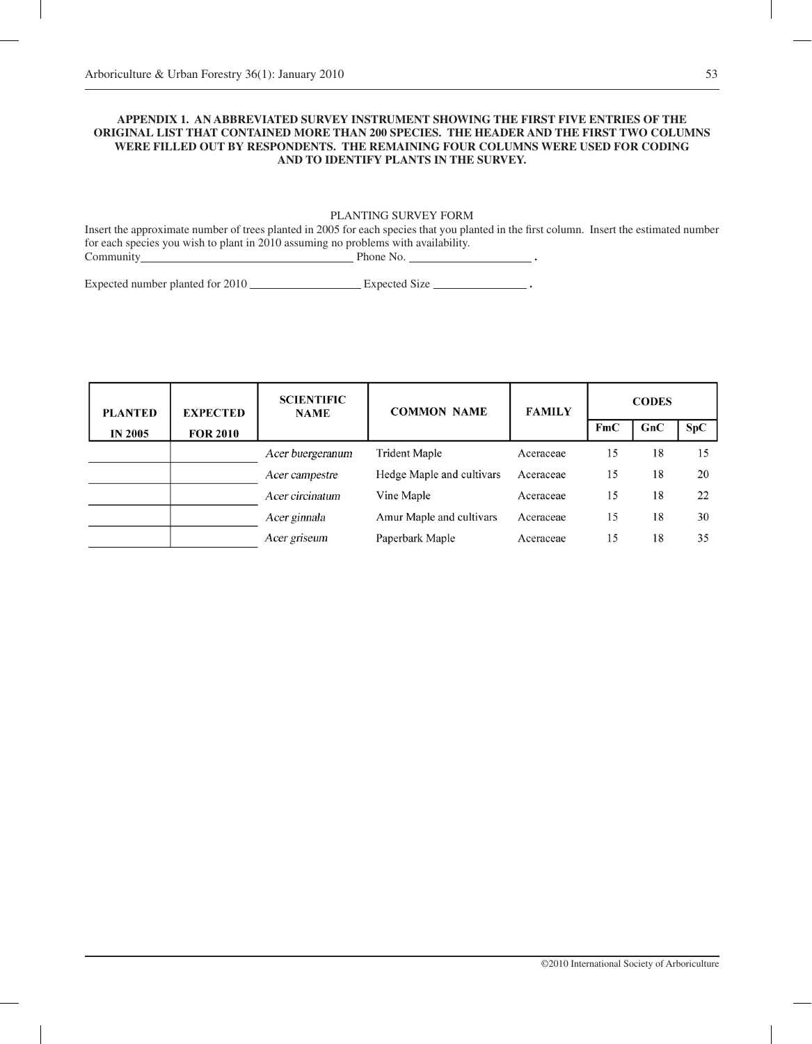## **Appendix 1. An abbreviated survey instrument showing the first five entries of the original list that contained more than 200 species. The header and the first two columns were filled out by respondents. The remaining four columns were used for coding and to identify plants in the survey.**

## PLANTING SURVEY FORM

Insert the approximate number of trees planted in 2005 for each species that you planted in the first column. Insert the estimated number for each species you wish to plant in 2010 assuming no problems with availability. Phone No. **.** .

Expected number planted for 2010 **Expected Size \_\_\_\_\_\_\_\_\_\_\_\_\_\_\_\_\_\_** 

| <b>PLANTED</b> | <b>EXPECTED</b> | <b>SCIENTIFIC</b><br><b>NAME</b> | <b>COMMON NAME</b>        | <b>FAMILY</b> | <b>CODES</b> |     |     |
|----------------|-----------------|----------------------------------|---------------------------|---------------|--------------|-----|-----|
| <b>IN 2005</b> | <b>FOR 2010</b> |                                  |                           |               | FmC          | GnC | SpC |
|                |                 | Acer buergeranum                 | Trident Maple             | Aceraceae     | 15           | 18  | 15  |
|                |                 | Acer campestre                   | Hedge Maple and cultivars | Aceraceae     | 15           | 18  | 20  |
|                |                 | Acer circinatum                  | Vine Maple                | Aceraceae     | 15           | 18  | 22  |
|                |                 | Acer ginnala                     | Amur Maple and cultivars  | Aceraceae     | 15           | 18  | 30  |
|                |                 | Acer griseum                     | Paperbark Maple           | Aceraceae     | 15           | 18  | 35  |